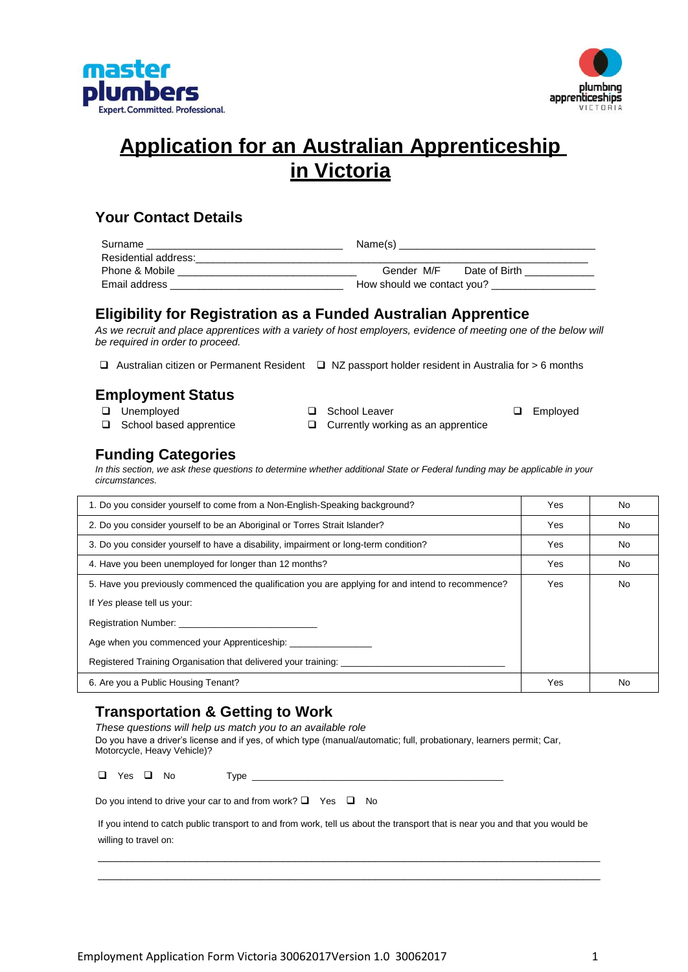



# **Application for an Australian Apprenticeship in Victoria**

### **Your Contact Details**

| Surname              | Name(s)                     |
|----------------------|-----------------------------|
| Residential address: |                             |
| Phone & Mobile       | Gender M/F<br>Date of Birth |
| Email address        | How should we contact you?  |

### **Eligibility for Registration as a Funded Australian Apprentice**

*As we recruit and place apprentices with a variety of host employers, evidence of meeting one of the below will be required in order to proceed.*

 $\Box$  Australian citizen or Permanent Resident  $\Box$  NZ passport holder resident in Australia for > 6 months

## **Employment Status**

- 
- 
- □ Unemployed □ School Leaver □ Employed

 $\Box$  School based apprentice  $\Box$  Currently working as an apprentice

### **Funding Categories**

*In this section, we ask these questions to determine whether additional State or Federal funding may be applicable in your circumstances.*

| 1. Do you consider yourself to come from a Non-English-Speaking background?                       |  | No        |
|---------------------------------------------------------------------------------------------------|--|-----------|
| 2. Do you consider yourself to be an Aboriginal or Torres Strait Islander?                        |  | No        |
| 3. Do you consider yourself to have a disability, impairment or long-term condition?              |  | <b>No</b> |
| 4. Have you been unemployed for longer than 12 months?                                            |  | <b>No</b> |
| 5. Have you previously commenced the qualification you are applying for and intend to recommence? |  | No        |
| If Yes please tell us your:                                                                       |  |           |
| Registration Number:                                                                              |  |           |
| Age when you commenced your Apprenticeship:                                                       |  |           |
| Registered Training Organisation that delivered your training:                                    |  |           |
| 6. Are you a Public Housing Tenant?                                                               |  | No        |

### **Transportation & Getting to Work**

*These questions will help us match you to an available role* Do you have a driver's license and if yes, of which type (manual/automatic; full, probationary, learners permit; Car, Motorcycle, Heavy Vehicle)?  $\Box$  Yes  $\Box$  No Type  $\Box$ Do you intend to drive your car to and from work?  $\Box$  Yes  $\Box$  No

If you intend to catch public transport to and from work, tell us about the transport that is near you and that you would be willing to travel on:

\_\_\_\_\_\_\_\_\_\_\_\_\_\_\_\_\_\_\_\_\_\_\_\_\_\_\_\_\_\_\_\_\_\_\_\_\_\_\_\_\_\_\_\_\_\_\_\_\_\_\_\_\_\_\_\_\_\_\_\_\_\_\_\_\_\_\_\_\_\_\_\_\_\_\_\_\_\_\_\_\_\_\_\_\_\_\_ \_\_\_\_\_\_\_\_\_\_\_\_\_\_\_\_\_\_\_\_\_\_\_\_\_\_\_\_\_\_\_\_\_\_\_\_\_\_\_\_\_\_\_\_\_\_\_\_\_\_\_\_\_\_\_\_\_\_\_\_\_\_\_\_\_\_\_\_\_\_\_\_\_\_\_\_\_\_\_\_\_\_\_\_\_\_\_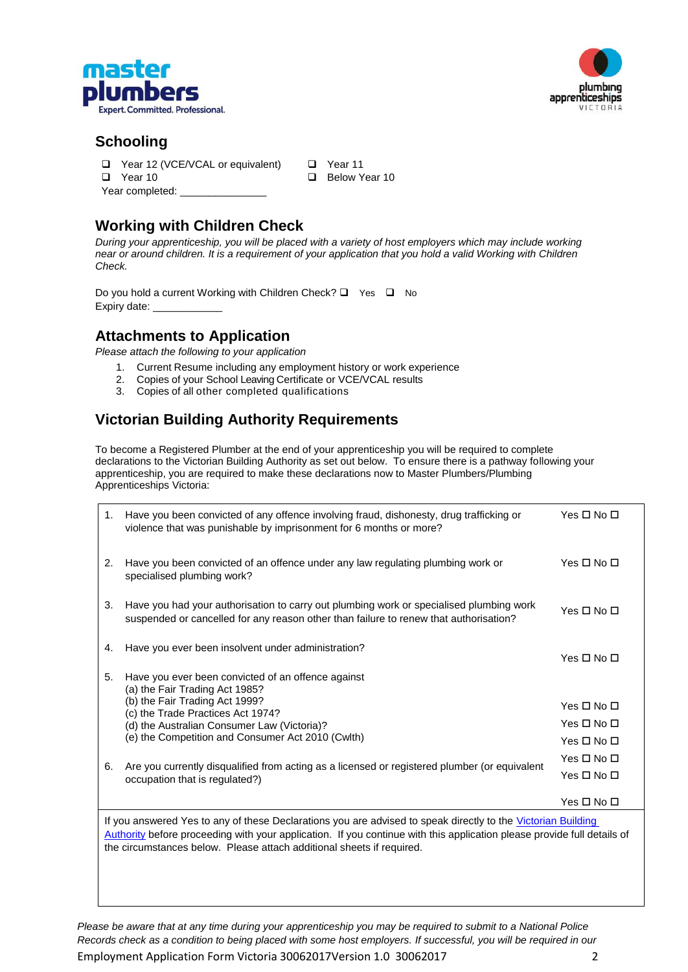



### **Schooling**

- □ Year 12 (VCE/VCAL or equivalent) □ Year 11
- 
- Year completed:

□ Year 10 Below Year 10

# **Working with Children Check**

*During your apprenticeship, you will be placed with a variety of host employers which may include working near or around children. It is a requirement of your application that you hold a valid Working with Children Check.*

Do you hold a current Working with Children Check?  $\Box$  Yes  $\Box$  No Expiry date: \_

### **Attachments to Application**

*Please attach the following to your application*

- 1. Current Resume including any employment history or work experience
- 2. Copies of your School Leaving Certificate or VCE/VCAL results
- 3. Copies of all other completed qualifications

# **Victorian Building Authority Requirements**

To become a Registered Plumber at the end of your apprenticeship you will be required to complete declarations to the Victorian Building Authority as set out below. To ensure there is a pathway following your apprenticeship, you are required to make these declarations now to Master Plumbers/Plumbing Apprenticeships Victoria:

| 1. | Have you been convicted of any offence involving fraud, dishonesty, drug trafficking or<br>violence that was punishable by imprisonment for 6 months or more?                    | Yes □ No □ |
|----|----------------------------------------------------------------------------------------------------------------------------------------------------------------------------------|------------|
| 2. | Have you been convicted of an offence under any law regulating plumbing work or<br>specialised plumbing work?                                                                    | Yes □ No □ |
| 3. | Have you had your authorisation to carry out plumbing work or specialised plumbing work<br>suspended or cancelled for any reason other than failure to renew that authorisation? | Yes □ No □ |
| 4. | Have you ever been insolvent under administration?                                                                                                                               | Yes □ No □ |
| 5. | Have you ever been convicted of an offence against<br>(a) the Fair Trading Act 1985?                                                                                             |            |
|    | (b) the Fair Trading Act 1999?<br>(c) the Trade Practices Act 1974?                                                                                                              | Yes □ No □ |
|    | (d) the Australian Consumer Law (Victoria)?                                                                                                                                      | Yes □ No □ |
|    | (e) the Competition and Consumer Act 2010 (Cwlth)                                                                                                                                | Yes □ No □ |
|    |                                                                                                                                                                                  | Yes □ No □ |
| 6. | Are you currently disqualified from acting as a licensed or registered plumber (or equivalent<br>occupation that is regulated?)                                                  | Yes □ No □ |
|    |                                                                                                                                                                                  | Yes □ No □ |

If you answered Yes to any of these Declarations you are advised to speak directly to the Victorian Building [Authority](http://www.vba.vic.gov.au/practitioners/plumbing-registration-and-licences) before proceeding with your application. If you continue with this application please provide full details of the circumstances below. Please attach additional sheets if required.

Employment Application Form Victoria 30062017Version 1.0 30062017 2 *Please be aware that at any time during your apprenticeship you may be required to submit to a National Police Records check as a condition to being placed with some host employers. If successful, you will be required in our*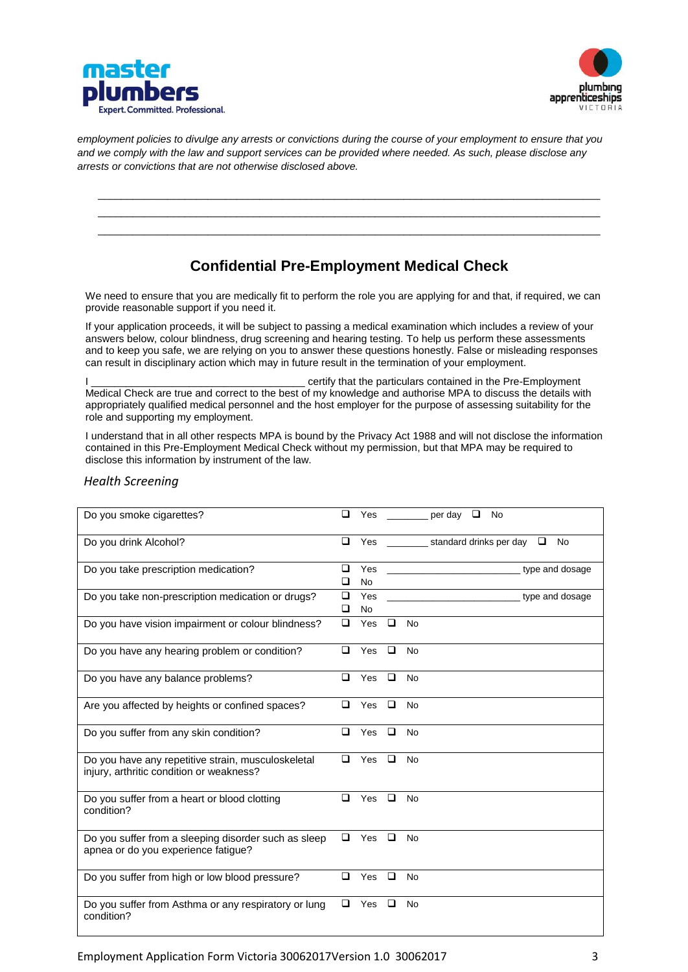



*employment policies to divulge any arrests or convictions during the course of your employment to ensure that you and we comply with the law and support services can be provided where needed. As such, please disclose any arrests or convictions that are not otherwise disclosed above.*

## **Confidential Pre-Employment Medical Check**

\_\_\_\_\_\_\_\_\_\_\_\_\_\_\_\_\_\_\_\_\_\_\_\_\_\_\_\_\_\_\_\_\_\_\_\_\_\_\_\_\_\_\_\_\_\_\_\_\_\_\_\_\_\_\_\_\_\_\_\_\_\_\_\_\_\_\_\_\_\_\_\_\_\_\_\_\_\_\_\_\_\_\_\_\_\_\_ \_\_\_\_\_\_\_\_\_\_\_\_\_\_\_\_\_\_\_\_\_\_\_\_\_\_\_\_\_\_\_\_\_\_\_\_\_\_\_\_\_\_\_\_\_\_\_\_\_\_\_\_\_\_\_\_\_\_\_\_\_\_\_\_\_\_\_\_\_\_\_\_\_\_\_\_\_\_\_\_\_\_\_\_\_\_\_ \_\_\_\_\_\_\_\_\_\_\_\_\_\_\_\_\_\_\_\_\_\_\_\_\_\_\_\_\_\_\_\_\_\_\_\_\_\_\_\_\_\_\_\_\_\_\_\_\_\_\_\_\_\_\_\_\_\_\_\_\_\_\_\_\_\_\_\_\_\_\_\_\_\_\_\_\_\_\_\_\_\_\_\_\_\_\_

We need to ensure that you are medically fit to perform the role you are applying for and that, if required, we can provide reasonable support if you need it.

If your application proceeds, it will be subject to passing a medical examination which includes a review of your answers below, colour blindness, drug screening and hearing testing. To help us perform these assessments and to keep you safe, we are relying on you to answer these questions honestly. False or misleading responses can result in disciplinary action which may in future result in the termination of your employment.

certify that the particulars contained in the Pre-Employment Medical Check are true and correct to the best of my knowledge and authorise MPA to discuss the details with appropriately qualified medical personnel and the host employer for the purpose of assessing suitability for the role and supporting my employment.

I understand that in all other respects MPA is bound by the Privacy Act 1988 and will not disclose the information contained in this Pre-Employment Medical Check without my permission, but that MPA may be required to disclose this information by instrument of the law.

| Do you smoke cigarettes?                                                                       | ◻                |                  |        | Yes $\_\_$<br>per day<br>□<br>No                                                              |
|------------------------------------------------------------------------------------------------|------------------|------------------|--------|-----------------------------------------------------------------------------------------------|
| Do you drink Alcohol?                                                                          | $\Box$           |                  |        | Yes ____________ standard drinks per day □ No                                                 |
| Do you take prescription medication?                                                           | $\Box$<br>□      | Yes<br><b>No</b> |        | type and dosage<br>the control of the control of the control of the control of the control of |
| Do you take non-prescription medication or drugs?                                              | $\Box$<br>$\Box$ | Yes<br>No        |        | type and dosage                                                                               |
| Do you have vision impairment or colour blindness?                                             | $\Box$           | Yes              | $\Box$ | <b>No</b>                                                                                     |
| Do you have any hearing problem or condition?                                                  | □                | Yes              | $\Box$ | <b>No</b>                                                                                     |
| Do you have any balance problems?                                                              | □                | Yes              | $\Box$ | <b>No</b>                                                                                     |
| Are you affected by heights or confined spaces?                                                | □                | Yes              | $\Box$ | <b>No</b>                                                                                     |
| Do you suffer from any skin condition?                                                         | $\Box$           | Yes              | $\Box$ | <b>No</b>                                                                                     |
| Do you have any repetitive strain, musculoskeletal<br>injury, arthritic condition or weakness? | $\Box$           | Yes              | $\Box$ | <b>No</b>                                                                                     |
| Do you suffer from a heart or blood clotting<br>condition?                                     | $\Box$           | Yes              | $\Box$ | <b>No</b>                                                                                     |
| Do you suffer from a sleeping disorder such as sleep<br>apnea or do you experience fatigue?    | $\Box$           | Yes              | $\Box$ | <b>No</b>                                                                                     |
| Do you suffer from high or low blood pressure?                                                 | □                | Yes              | $\Box$ | No                                                                                            |
| Do you suffer from Asthma or any respiratory or lung<br>condition?                             | $\Box$           | Yes              | $\Box$ | <b>No</b>                                                                                     |

#### *Health Screening*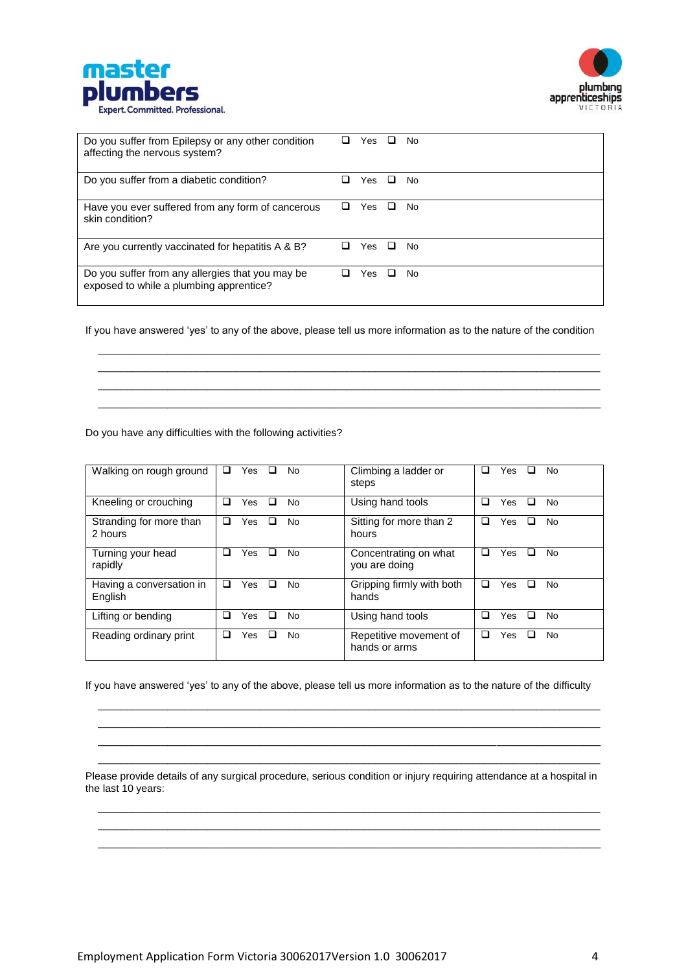



| Do you suffer from Epilepsy or any other condition<br>affecting the nervous system?         | ப | Yes.       | ப | No. |
|---------------------------------------------------------------------------------------------|---|------------|---|-----|
| Do you suffer from a diabetic condition?                                                    |   | Yes        | ப | No. |
| Have you ever suffered from any form of cancerous<br>skin condition?                        | ப | Yes        | ப | No. |
| Are you currently vaccinated for hepatitis A & B?                                           | ப | Yes        | ш | No. |
| Do you suffer from any allergies that you may be<br>exposed to while a plumbing apprentice? |   | <b>Yes</b> | ப | Nο  |

If you have answered 'yes' to any of the above, please tell us more information as to the nature of the condition

\_\_\_\_\_\_\_\_\_\_\_\_\_\_\_\_\_\_\_\_\_\_\_\_\_\_\_\_\_\_\_\_\_\_\_\_\_\_\_\_\_\_\_\_\_\_\_\_\_\_\_\_\_\_\_\_\_\_\_\_\_\_\_\_\_\_\_\_\_\_\_\_\_\_\_\_\_\_\_\_\_\_\_\_\_\_\_ \_\_\_\_\_\_\_\_\_\_\_\_\_\_\_\_\_\_\_\_\_\_\_\_\_\_\_\_\_\_\_\_\_\_\_\_\_\_\_\_\_\_\_\_\_\_\_\_\_\_\_\_\_\_\_\_\_\_\_\_\_\_\_\_\_\_\_\_\_\_\_\_\_\_\_\_\_\_\_\_\_\_\_\_\_\_\_ \_\_\_\_\_\_\_\_\_\_\_\_\_\_\_\_\_\_\_\_\_\_\_\_\_\_\_\_\_\_\_\_\_\_\_\_\_\_\_\_\_\_\_\_\_\_\_\_\_\_\_\_\_\_\_\_\_\_\_\_\_\_\_\_\_\_\_\_\_\_\_\_\_\_\_\_\_\_\_\_\_\_\_\_\_\_\_ \_\_\_\_\_\_\_\_\_\_\_\_\_\_\_\_\_\_\_\_\_\_\_\_\_\_\_\_\_\_\_\_\_\_\_\_\_\_\_\_\_\_\_\_\_\_\_\_\_\_\_\_\_\_\_\_\_\_\_\_\_\_\_\_\_\_\_\_\_\_\_\_\_\_\_\_\_\_\_\_\_\_\_\_\_\_\_

Do you have any difficulties with the following activities?

| Walking on rough ground             | Yes<br>□<br><b>No</b><br>⊔        | Climbing a ladder or<br>steps           | Yes<br>No.<br>$\overline{\phantom{a}}$<br>ப |
|-------------------------------------|-----------------------------------|-----------------------------------------|---------------------------------------------|
| Kneeling or crouching               | ◻<br>Yes<br>□<br><b>No</b>        | Using hand tools                        | Yes<br>П<br><b>No</b><br>ப                  |
| Stranding for more than<br>2 hours  | ❏<br>Yes<br>□<br>No               | Sitting for more than 2<br>hours        | Yes<br>No<br>ப<br>⊔                         |
| Turning your head<br>rapidly        | ◻<br>Yes<br>◻<br>No               | Concentrating on what<br>you are doing  | Yes<br><b>No</b><br>H<br>ப                  |
| Having a conversation in<br>English | Yes<br>□<br>◻<br>No               | Gripping firmly with both<br>hands      | Yes<br><b>No</b><br>ப<br>H                  |
| Lifting or bending                  | ◻<br>◻<br>Yes<br>No               | Using hand tools                        | Yes<br><b>No</b><br>ப<br>H                  |
| Reading ordinary print              | ◻<br><b>Yes</b><br>□<br><b>No</b> | Repetitive movement of<br>hands or arms | Yes<br><b>No</b><br>ப<br>ш                  |

If you have answered 'yes' to any of the above, please tell us more information as to the nature of the difficulty

\_\_\_\_\_\_\_\_\_\_\_\_\_\_\_\_\_\_\_\_\_\_\_\_\_\_\_\_\_\_\_\_\_\_\_\_\_\_\_\_\_\_\_\_\_\_\_\_\_\_\_\_\_\_\_\_\_\_\_\_\_\_\_\_\_\_\_\_\_\_\_\_\_\_\_\_\_\_\_\_\_\_\_\_\_\_\_ \_\_\_\_\_\_\_\_\_\_\_\_\_\_\_\_\_\_\_\_\_\_\_\_\_\_\_\_\_\_\_\_\_\_\_\_\_\_\_\_\_\_\_\_\_\_\_\_\_\_\_\_\_\_\_\_\_\_\_\_\_\_\_\_\_\_\_\_\_\_\_\_\_\_\_\_\_\_\_\_\_\_\_\_\_\_\_ \_\_\_\_\_\_\_\_\_\_\_\_\_\_\_\_\_\_\_\_\_\_\_\_\_\_\_\_\_\_\_\_\_\_\_\_\_\_\_\_\_\_\_\_\_\_\_\_\_\_\_\_\_\_\_\_\_\_\_\_\_\_\_\_\_\_\_\_\_\_\_\_\_\_\_\_\_\_\_\_\_\_\_\_\_\_\_ \_\_\_\_\_\_\_\_\_\_\_\_\_\_\_\_\_\_\_\_\_\_\_\_\_\_\_\_\_\_\_\_\_\_\_\_\_\_\_\_\_\_\_\_\_\_\_\_\_\_\_\_\_\_\_\_\_\_\_\_\_\_\_\_\_\_\_\_\_\_\_\_\_\_\_\_\_\_\_\_\_\_\_\_\_\_\_

Please provide details of any surgical procedure, serious condition or injury requiring attendance at a hospital in the last 10 years:

\_\_\_\_\_\_\_\_\_\_\_\_\_\_\_\_\_\_\_\_\_\_\_\_\_\_\_\_\_\_\_\_\_\_\_\_\_\_\_\_\_\_\_\_\_\_\_\_\_\_\_\_\_\_\_\_\_\_\_\_\_\_\_\_\_\_\_\_\_\_\_\_\_\_\_\_\_\_\_\_\_\_\_\_\_\_\_ \_\_\_\_\_\_\_\_\_\_\_\_\_\_\_\_\_\_\_\_\_\_\_\_\_\_\_\_\_\_\_\_\_\_\_\_\_\_\_\_\_\_\_\_\_\_\_\_\_\_\_\_\_\_\_\_\_\_\_\_\_\_\_\_\_\_\_\_\_\_\_\_\_\_\_\_\_\_\_\_\_\_\_\_\_\_\_ \_\_\_\_\_\_\_\_\_\_\_\_\_\_\_\_\_\_\_\_\_\_\_\_\_\_\_\_\_\_\_\_\_\_\_\_\_\_\_\_\_\_\_\_\_\_\_\_\_\_\_\_\_\_\_\_\_\_\_\_\_\_\_\_\_\_\_\_\_\_\_\_\_\_\_\_\_\_\_\_\_\_\_\_\_\_\_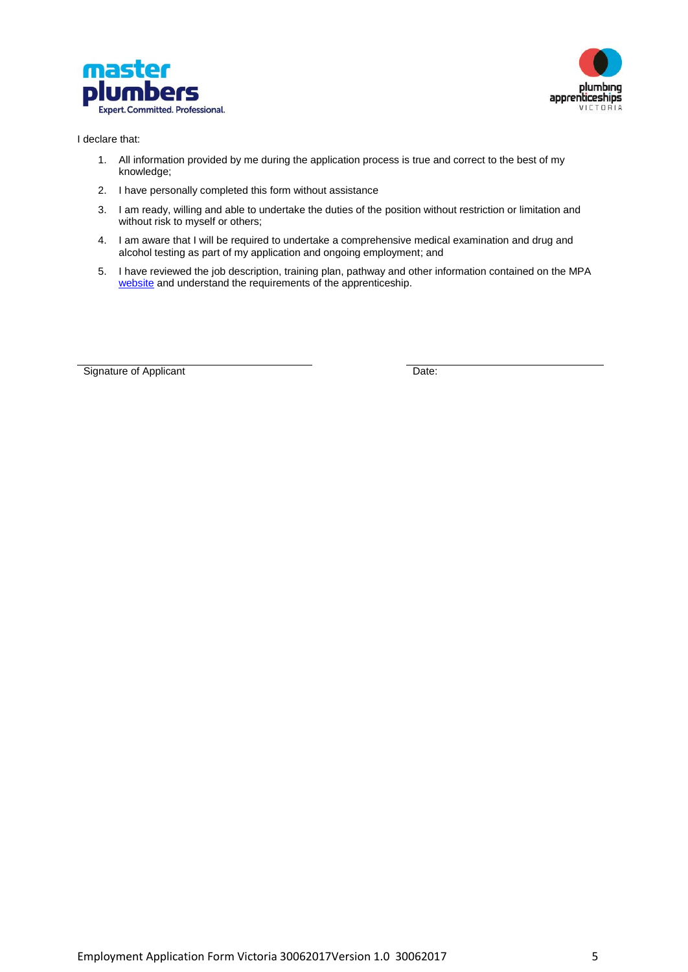



I declare that:

- 1. All information provided by me during the application process is true and correct to the best of my knowledge;
- 2. I have personally completed this form without assistance
- 3. I am ready, willing and able to undertake the duties of the position without restriction or limitation and without risk to myself or others;
- 4. I am aware that I will be required to undertake a comprehensive medical examination and drug and alcohol testing as part of my application and ongoing employment; and
- 5. I have reviewed the job description, training plan, pathway and other information contained on the MPA [website](https://plumber.com.au/training-development/become-an-apprentice-with-pav) and understand the requirements of the apprenticeship.

Signature of Applicant Date: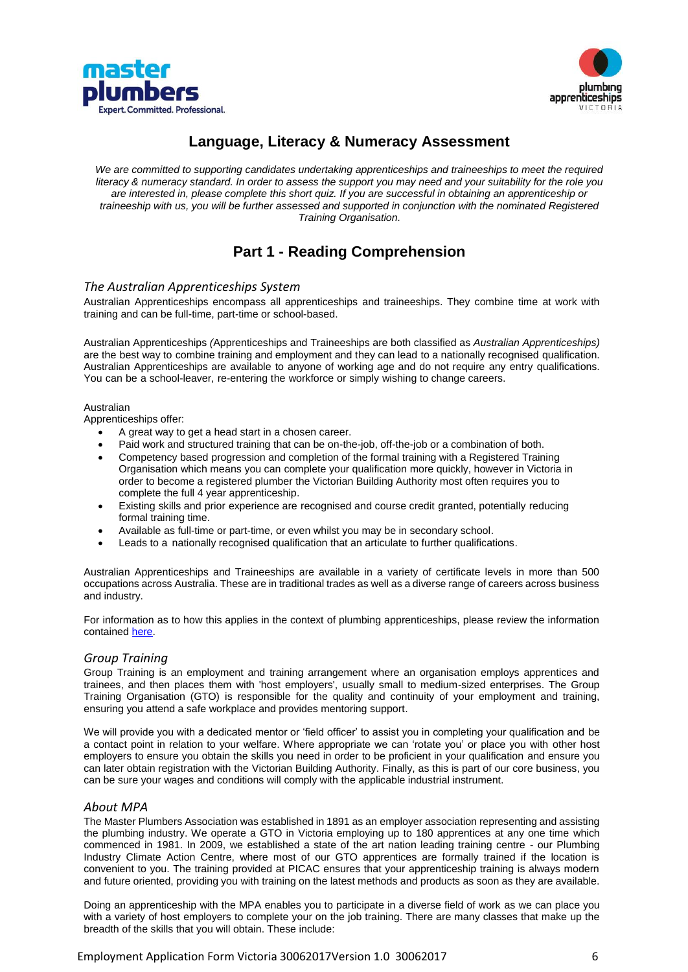



### **Language, Literacy & Numeracy Assessment**

We are committed to supporting candidates undertaking apprenticeships and traineeships to meet the required *literacy & numeracy standard. In order to assess the support you may need and your suitability for the role you are interested in, please complete this short quiz. If you are successful in obtaining an apprenticeship or traineeship with us, you will be further assessed and supported in conjunction with the nominated Registered Training Organisation.*

## **Part 1 - Reading Comprehension**

#### *The Australian Apprenticeships System*

Australian Apprenticeships encompass all apprenticeships and traineeships. They combine time at work with training and can be full-time, part-time or school-based.

Australian Apprenticeships *(*Apprenticeships and Traineeships are both classified as *Australian Apprenticeships)* are the best way to combine training and employment and they can lead to a nationally recognised qualification. Australian Apprenticeships are available to anyone of working age and do not require any entry qualifications. You can be a school-leaver, re-entering the workforce or simply wishing to change careers.

#### Australian

Apprenticeships offer:

- A great way to get a head start in a chosen career.
- Paid work and structured training that can be on-the-job, off-the-job or a combination of both.
- Competency based progression and completion of the formal training with a Registered Training Organisation which means you can complete your qualification more quickly, however in Victoria in order to become a registered plumber the Victorian Building Authority most often requires you to complete the full 4 year apprenticeship.
- Existing skills and prior experience are recognised and course credit granted, potentially reducing formal training time.
- Available as full-time or part-time, or even whilst you may be in secondary school.
- Leads to a nationally recognised qualification that an articulate to further qualifications.

Australian Apprenticeships and Traineeships are available in a variety of certificate levels in more than 500 occupations across Australia. These are in traditional trades as well as a diverse range of careers across business and industry.

For information as to how this applies in the context of plumbing apprenticeships, please review the information contained [here.](https://plumber.com.au/training-development/become-an-apprentice-with-pav)

#### *Group Training*

Group Training is an employment and training arrangement where an organisation employs apprentices and trainees, and then places them with 'host employers', usually small to medium-sized enterprises. The Group Training Organisation (GTO) is responsible for the quality and continuity of your employment and training, ensuring you attend a safe workplace and provides mentoring support.

We will provide you with a dedicated mentor or 'field officer' to assist you in completing your qualification and be a contact point in relation to your welfare. Where appropriate we can 'rotate you' or place you with other host employers to ensure you obtain the skills you need in order to be proficient in your qualification and ensure you can later obtain registration with the Victorian Building Authority. Finally, as this is part of our core business, you can be sure your wages and conditions will comply with the applicable industrial instrument.

#### *About MPA*

The Master Plumbers Association was established in 1891 as an employer association representing and assisting the plumbing industry. We operate a GTO in Victoria employing up to 180 apprentices at any one time which commenced in 1981. In 2009, we established a state of the art nation leading training centre - our Plumbing Industry Climate Action Centre, where most of our GTO apprentices are formally trained if the location is convenient to you. The training provided at PICAC ensures that your apprenticeship training is always modern and future oriented, providing you with training on the latest methods and products as soon as they are available.

Doing an apprenticeship with the MPA enables you to participate in a diverse field of work as we can place you with a variety of host employers to complete your on the job training. There are many classes that make up the breadth of the skills that you will obtain. These include: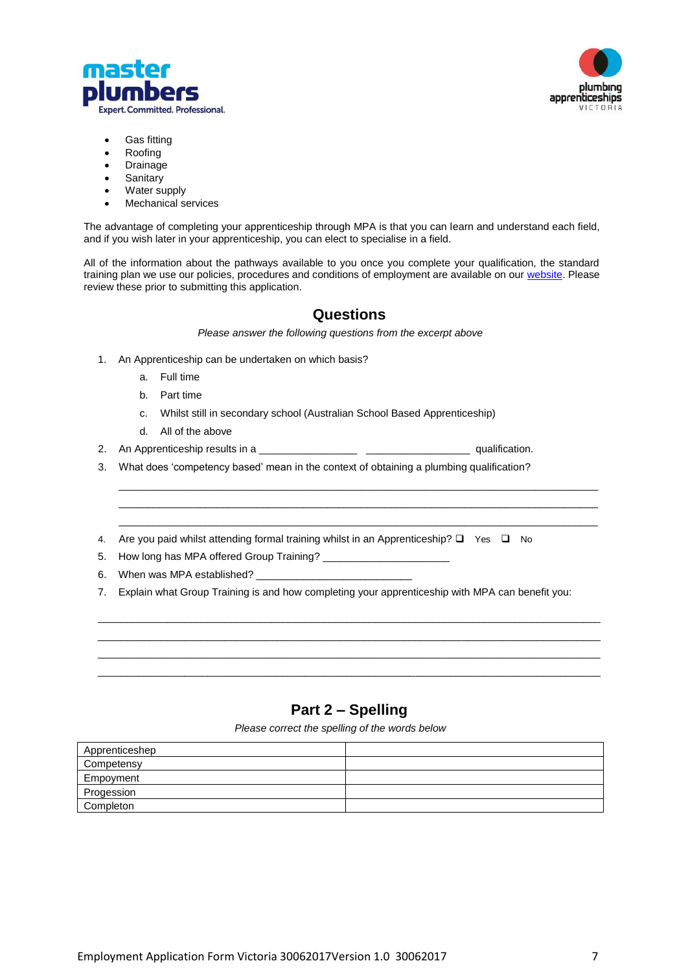



- Gas fitting
- Roofing
- **Drainage**
- **Sanitary**
- Water supply
- Mechanical services

The advantage of completing your apprenticeship through MPA is that you can learn and understand each field, and if you wish later in your apprenticeship, you can elect to specialise in a field.

All of the information about the pathways available to you once you complete your qualification, the standard training plan we use our policies, procedures and conditions of employment are available on ou[r website.](https://plumber.com.au/training-development/become-an-apprentice-with-pav) Please review these prior to submitting this application.

### **Questions**

\_\_\_\_\_\_\_\_\_\_\_\_\_\_\_\_\_\_\_\_\_\_\_\_\_\_\_\_\_\_\_\_\_\_\_\_\_\_\_\_\_\_\_\_\_\_\_\_\_\_\_\_\_\_\_\_\_\_\_\_\_\_\_\_\_\_\_\_\_\_\_\_\_\_\_\_\_\_\_\_\_\_\_ \_\_\_\_\_\_\_\_\_\_\_\_\_\_\_\_\_\_\_\_\_\_\_\_\_\_\_\_\_\_\_\_\_\_\_\_\_\_\_\_\_\_\_\_\_\_\_\_\_\_\_\_\_\_\_\_\_\_\_\_\_\_\_\_\_\_\_\_\_\_\_\_\_\_\_\_\_\_\_\_\_\_\_  $\_$  ,  $\_$  ,  $\_$  ,  $\_$  ,  $\_$  ,  $\_$  ,  $\_$  ,  $\_$  ,  $\_$  ,  $\_$  ,  $\_$  ,  $\_$  ,  $\_$  ,  $\_$  ,  $\_$  ,  $\_$  ,  $\_$  ,  $\_$  ,  $\_$  ,  $\_$  ,  $\_$  ,  $\_$  ,  $\_$  ,  $\_$  ,  $\_$  ,  $\_$  ,  $\_$  ,  $\_$  ,  $\_$  ,  $\_$  ,  $\_$  ,  $\_$  ,  $\_$  ,  $\_$  ,  $\_$  ,  $\_$  ,  $\_$  ,

*Please answer the following questions from the excerpt above*

- 1. An Apprenticeship can be undertaken on which basis?
	- a. Full time
	- b. Part time
	- c. Whilst still in secondary school (Australian School Based Apprenticeship)
	- d. All of the above
- 2. An Apprenticeship results in a \_\_\_\_\_\_\_\_\_\_\_\_\_\_\_\_\_ \_\_\_\_\_\_\_\_\_\_\_\_\_\_\_\_\_\_ qualification.
- 3. What does 'competency based' mean in the context of obtaining a plumbing qualification?
- 4. Are you paid whilst attending formal training whilst in an Apprenticeship?  $\square$  Yes  $\square$  No
- 5. How long has MPA offered Group Training? \_\_\_\_\_\_\_\_\_\_\_\_\_
- 6. When was MPA established? \_\_

7. Explain what Group Training is and how completing your apprenticeship with MPA can benefit you:

\_\_\_\_\_\_\_\_\_\_\_\_\_\_\_\_\_\_\_\_\_\_\_\_\_\_\_\_\_\_\_\_\_\_\_\_\_\_\_\_\_\_\_\_\_\_\_\_\_\_\_\_\_\_\_\_\_\_\_\_\_\_\_\_\_\_\_\_\_\_\_\_\_\_\_\_\_\_\_\_\_\_\_\_\_\_\_ \_\_\_\_\_\_\_\_\_\_\_\_\_\_\_\_\_\_\_\_\_\_\_\_\_\_\_\_\_\_\_\_\_\_\_\_\_\_\_\_\_\_\_\_\_\_\_\_\_\_\_\_\_\_\_\_\_\_\_\_\_\_\_\_\_\_\_\_\_\_\_\_\_\_\_\_\_\_\_\_\_\_\_\_\_\_\_ \_\_\_\_\_\_\_\_\_\_\_\_\_\_\_\_\_\_\_\_\_\_\_\_\_\_\_\_\_\_\_\_\_\_\_\_\_\_\_\_\_\_\_\_\_\_\_\_\_\_\_\_\_\_\_\_\_\_\_\_\_\_\_\_\_\_\_\_\_\_\_\_\_\_\_\_\_\_\_\_\_\_\_\_\_\_\_ \_\_\_\_\_\_\_\_\_\_\_\_\_\_\_\_\_\_\_\_\_\_\_\_\_\_\_\_\_\_\_\_\_\_\_\_\_\_\_\_\_\_\_\_\_\_\_\_\_\_\_\_\_\_\_\_\_\_\_\_\_\_\_\_\_\_\_\_\_\_\_\_\_\_\_\_\_\_\_\_\_\_\_\_\_\_\_

### **Part 2 – Spelling**

*Please correct the spelling of the words below*

| Apprenticeshep |  |
|----------------|--|
| Competensy     |  |
| Empoyment      |  |
| Progession     |  |
| Completon      |  |